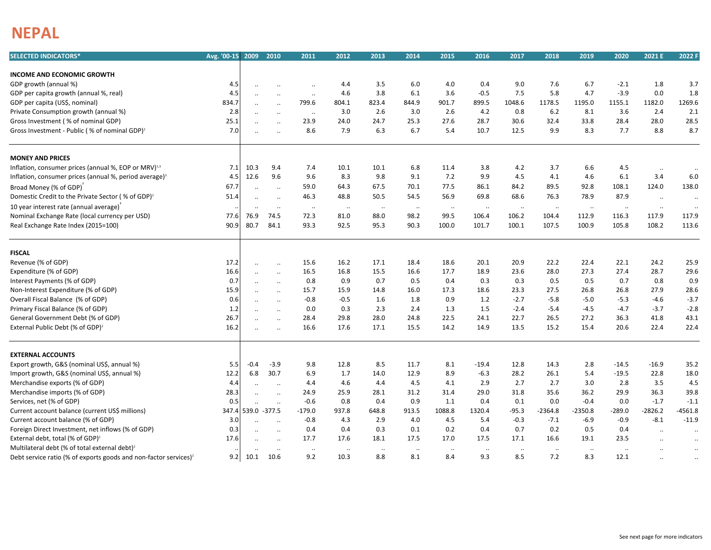## **NEPAL**

| <b>SELECTED INDICATORS*</b>                                                  | Avg. '00-15 2009 |              | 2010                              | 2011                 | 2012                 | 2013            | 2014           | 2015            | 2016                | 2017            | 2018            | 2019            | 2020                  | 2021 E                            | 2022 F                 |
|------------------------------------------------------------------------------|------------------|--------------|-----------------------------------|----------------------|----------------------|-----------------|----------------|-----------------|---------------------|-----------------|-----------------|-----------------|-----------------------|-----------------------------------|------------------------|
|                                                                              |                  |              |                                   |                      |                      |                 |                |                 |                     |                 |                 |                 |                       |                                   |                        |
| <b>INCOME AND ECONOMIC GROWTH</b>                                            |                  |              |                                   |                      |                      |                 |                |                 |                     |                 |                 |                 |                       |                                   |                        |
| GDP growth (annual %)                                                        | 4.5<br>4.5       | $\ddotsc$    | $\ddot{\phantom{a}}$              | $\ddot{\phantom{a}}$ | 4.4<br>4.6           | 3.5<br>3.8      | 6.0<br>6.1     | 4.0<br>3.6      | 0.4<br>$-0.5$       | 9.0<br>7.5      | 7.6<br>5.8      | 6.7<br>4.7      | $-2.1$<br>$-3.9$      | 1.8<br>0.0                        | 3.7<br>1.8             |
| GDP per capita growth (annual %, real)                                       |                  | $\ddotsc$    | $\ldots$                          | $\ddotsc$            |                      | 823.4           | 844.9          |                 | 899.5               |                 | 1178.5          |                 |                       |                                   | 1269.6                 |
| GDP per capita (US\$, nominal)                                               | 834.7<br>2.8     | $\ddotsc$    | $\ddotsc$                         | 799.6                | 804.1<br>3.0         | 2.6             | 3.0            | 901.7<br>2.6    | 4.2                 | 1048.6<br>0.8   | 6.2             | 1195.0<br>8.1   | 1155.1<br>3.6         | 1182.0<br>2.4                     | 2.1                    |
| Private Consumption growth (annual %)                                        |                  | $\ddotsc$    | $\ldots$                          | $\ddotsc$            |                      |                 |                | 27.6            |                     | 30.6            |                 |                 | 28.4                  | 28.0                              | 28.5                   |
| Gross Investment (% of nominal GDP)                                          | 25.1<br>7.0      | $\cdot$      | $\ddot{\phantom{0}}$              | 23.9<br>8.6          | 24.0<br>7.9          | 24.7<br>6.3     | 25.3<br>6.7    | 5.4             | 28.7<br>10.7        | 12.5            | 32.4<br>9.9     | 33.8<br>8.3     | 7.7                   | 8.8                               | 8.7                    |
| Gross Investment - Public (% of nominal GDP) <sup>2</sup>                    |                  | $\ddotsc$    | $\ddotsc$                         |                      |                      |                 |                |                 |                     |                 |                 |                 |                       |                                   |                        |
| <b>MONEY AND PRICES</b>                                                      |                  |              |                                   |                      |                      |                 |                |                 |                     |                 |                 |                 |                       |                                   |                        |
| Inflation, consumer prices (annual %, EOP or MRV) <sup>1,3</sup>             | 7.1              | 10.3         | 9.4                               | 7.4                  | 10.1                 | 10.1            | 6.8            | 11.4            | 3.8                 | 4.2             | 3.7             | 6.6             | 4.5                   | $\ldots$                          | $\cdot \cdot$          |
| Inflation, consumer prices (annual %, period average) <sup>3</sup>           | 4.5              | 12.6         | 9.6                               | 9.6                  | 8.3                  | 9.8             | 9.1            | 7.2             | 9.9                 | 4.5             | 4.1             | 4.6             | 6.1                   | 3.4                               | 6.0                    |
| Broad Money (% of GDP)                                                       | 67.7             | $\cdot$      | $\ldots$                          | 59.0                 | 64.3                 | 67.5            | 70.1           | 77.5            | 86.1                | 84.2            | 89.5            | 92.8            | 108.1                 | 124.0                             | 138.0                  |
| Domestic Credit to the Private Sector (% of GDP) <sup>2</sup>                | 51.4             | $\ddotsc$    |                                   | 46.3                 | 48.8                 | 50.5            | 54.5           | 56.9            | 69.8                | 68.6            | 76.3            | 78.9            | 87.9                  | $\cdot\cdot$                      | $\cdot \cdot$          |
| 10 year interest rate (annual average)                                       |                  | $\ddotsc$    | $\ddotsc$                         | $\ldots$             | $\cdot\cdot$         | $\cdot\cdot$    | $\cdot\cdot$   | $\cdot\cdot$    | $\cdot\cdot$        | $\cdot\cdot$    | $\ldots$        | $\ldots$        | $\cdot\cdot$          | $\ldots$                          | $\ddotsc$              |
| Nominal Exchange Rate (local currency per USD)                               | 77.6             | 76.9         | 74.5                              | 72.3                 | 81.0                 | 88.0            | 98.2           | 99.5            | 106.4               | 106.2           | 104.4           | 112.9           | 116.3                 | 117.9                             | 117.9                  |
| Real Exchange Rate Index (2015=100)                                          | 90.9             | 80.7         | 84.1                              | 93.3                 | 92.5                 | 95.3            | 90.3           | 100.0           | 101.7               | 100.1           | 107.5           | 100.9           | 105.8                 | 108.2                             | 113.6                  |
|                                                                              |                  |              |                                   |                      |                      |                 |                |                 |                     |                 |                 |                 |                       |                                   |                        |
| <b>FISCAL</b>                                                                |                  |              |                                   |                      |                      |                 |                |                 |                     |                 |                 |                 |                       |                                   |                        |
| Revenue (% of GDP)                                                           | 17.2             | $\ddotsc$    | $\ddotsc$                         | 15.6                 | 16.2                 | 17.1            | 18.4           | 18.6            | 20.1                | 20.9            | 22.2            | 22.4            | 22.1                  | 24.2                              | 25.9                   |
| Expenditure (% of GDP)                                                       | 16.6             | $\ddotsc$    | $\ddotsc$                         | 16.5                 | 16.8                 | 15.5            | 16.6           | 17.7            | 18.9                | 23.6            | 28.0            | 27.3            | 27.4                  | 28.7                              | 29.6                   |
| Interest Payments (% of GDP)                                                 | 0.7              | $\cdot$      | $\ldots$                          | 0.8                  | 0.9                  | 0.7             | 0.5            | 0.4             | 0.3                 | 0.3             | 0.5             | 0.5             | 0.7                   | 0.8                               | 0.9                    |
| Non-Interest Expenditure (% of GDP)                                          | 15.9             | $\ddotsc$    | $\ldots$                          | 15.7                 | 15.9                 | 14.8            | 16.0           | 17.3            | 18.6                | 23.3            | 27.5            | 26.8            | 26.8                  | 27.9                              | 28.6                   |
| Overall Fiscal Balance (% of GDP)                                            | 0.6              | $\ddotsc$    | $\ddotsc$                         | $-0.8$               | $-0.5$               | 1.6             | 1.8            | 0.9             | 1.2                 | $-2.7$          | $-5.8$          | $-5.0$          | $-5.3$                | $-4.6$                            | $-3.7$                 |
| Primary Fiscal Balance (% of GDP)                                            | 1.2              | $\ddotsc$    | $\ddotsc$                         | 0.0                  | 0.3                  | 2.3             | 2.4            | 1.3             | 1.5                 | $-2.4$          | $-5.4$          | $-4.5$          | $-4.7$                | $-3.7$                            | $-2.8$                 |
| General Government Debt (% of GDP)                                           | 26.7             |              | $\ddotsc$                         | 28.4                 | 29.8                 | 28.0            | 24.8           | 22.5            | 24.1                | 22.7            | 26.5            | 27.2            | 36.3                  | 41.8                              | 43.1                   |
| External Public Debt (% of GDP) <sup>2</sup>                                 | 16.2             | $\ddotsc$    | $\ddotsc$                         | 16.6                 | 17.6                 | 17.1            | 15.5           | 14.2            | 14.9                | 13.5            | 15.2            | 15.4            | 20.6                  | 22.4                              | 22.4                   |
| <b>EXTERNAL ACCOUNTS</b>                                                     |                  |              |                                   |                      |                      |                 |                |                 |                     |                 |                 |                 |                       |                                   |                        |
| Export growth, G&S (nominal US\$, annual %)                                  | 5.5              | $-0.4$       | $-3.9$                            | 9.8                  | 12.8                 | 8.5             | 11.7           | 8.1             | $-19.4$             | 12.8            | 14.3            | 2.8             | $-14.5$               | $-16.9$                           | 35.2                   |
| Import growth, G&S (nominal US\$, annual %)                                  | 12.2             | 6.8          | 30.7                              | 6.9                  | 1.7                  | 14.0            | 12.9           | 8.9             | $-6.3$              | 28.2            | 26.1            | 5.4             | $-19.5$               | 22.8                              | 18.0                   |
| Merchandise exports (% of GDP)                                               | 4.4              |              |                                   | 4.4                  | 4.6                  | 4.4             | 4.5            | 4.1             | 2.9                 | 2.7             | 2.7             | 3.0             | 2.8                   | 3.5                               | 4.5                    |
| Merchandise imports (% of GDP)                                               | 28.3             | $\cdot\cdot$ | $\ddotsc$<br>$\ddot{\phantom{a}}$ | 24.9                 | 25.9                 | 28.1            | 31.2           | 31.4            | 29.0                | 31.8            | 35.6            | 36.2            | 29.9                  | 36.3                              | 39.8                   |
| Services, net (% of GDP)                                                     | 0.5              |              |                                   | $-0.6$               | 0.8                  | 0.4             | 0.9            | 1.1             | 0.4                 | 0.1             | 0.0             | $-0.4$          | 0.0                   | $-1.7$                            | $-1.1$                 |
| Current account balance (current US\$ millions)                              | 347.4            | 539.0 -377.5 | $\ddotsc$                         | $-179.0$             | 937.8                | 648.8           | 913.5          | 1088.8          | 1320.4              | $-95.3$         | $-2364.8$       | $-2350.8$       | $-289.0$              | $-2826.2$                         | $-4561.8$              |
| Current account balance (% of GDP)                                           | 3.0              |              |                                   | $-0.8$               | 4.3                  | 2.9             | 4.0            | 4.5             | 5.4                 | $-0.3$          | $-7.1$          | $-6.9$          | $-0.9$                | $-8.1$                            | $-11.9$                |
| Foreign Direct Investment, net inflows (% of GDP)                            | 0.3              |              | $\ddotsc$                         | 0.4                  | 0.4                  | 0.3             | 0.1            | 0.2             | 0.4                 | 0.7             | 0.2             | 0.5             | 0.4                   |                                   |                        |
| External debt, total (% of GDP) <sup>2</sup>                                 | 17.6             | $\cdot$ .    | $\ddotsc$                         | 17.7                 | 17.6                 | 18.1            | 17.5           | 17.0            | 17.5                | 17.1            | 16.6            | 19.1            | 23.5                  | $\ddotsc$                         | $\ddotsc$              |
| Multilateral debt (% of total external debt) <sup>2</sup>                    |                  | $\ddotsc$    | $\ddotsc$                         |                      |                      |                 |                |                 |                     |                 |                 |                 |                       | $\ddotsc$                         | $\ddotsc$              |
| Debt service ratio (% of exports goods and non-factor services) <sup>2</sup> | 9.2              | 10.1         | <br>10.6                          | $\cdot\cdot$<br>9.2  | $\cdot\cdot$<br>10.3 | $\ldots$<br>8.8 | $\cdot$<br>8.1 | $\ldots$<br>8.4 | $\cdot\cdot$<br>9.3 | $\ldots$<br>8.5 | $\ldots$<br>7.2 | $\ldots$<br>8.3 | $\cdot \cdot$<br>12.1 | $\cdot$ .<br>$\ddot{\phantom{a}}$ | $\ddotsc$<br>$\ddotsc$ |
|                                                                              |                  |              |                                   |                      |                      |                 |                |                 |                     |                 |                 |                 |                       |                                   |                        |